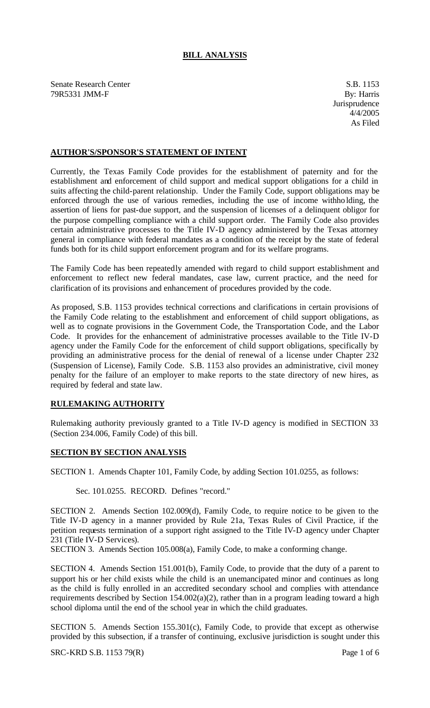## **BILL ANALYSIS**

Senate Research Center S.B. 1153 79R5331 JMM-F By: Harris

## **AUTHOR'S/SPONSOR'S STATEMENT OF INTENT**

Currently, the Texas Family Code provides for the establishment of paternity and for the establishment and enforcement of child support and medical support obligations for a child in suits affecting the child-parent relationship. Under the Family Code, support obligations may be enforced through the use of various remedies, including the use of income withholding, the assertion of liens for past-due support, and the suspension of licenses of a delinquent obligor for the purpose compelling compliance with a child support order. The Family Code also provides certain administrative processes to the Title IV-D agency administered by the Texas attorney general in compliance with federal mandates as a condition of the receipt by the state of federal funds both for its child support enforcement program and for its welfare programs.

The Family Code has been repeatedly amended with regard to child support establishment and enforcement to reflect new federal mandates, case law, current practice, and the need for clarification of its provisions and enhancement of procedures provided by the code.

As proposed, S.B. 1153 provides technical corrections and clarifications in certain provisions of the Family Code relating to the establishment and enforcement of child support obligations, as well as to cognate provisions in the Government Code, the Transportation Code, and the Labor Code. It provides for the enhancement of administrative processes available to the Title IV-D agency under the Family Code for the enforcement of child support obligations, specifically by providing an administrative process for the denial of renewal of a license under Chapter 232 (Suspension of License), Family Code. S.B. 1153 also provides an administrative, civil money penalty for the failure of an employer to make reports to the state directory of new hires, as required by federal and state law.

## **RULEMAKING AUTHORITY**

Rulemaking authority previously granted to a Title IV-D agency is modified in SECTION 33 (Section 234.006, Family Code) of this bill.

## **SECTION BY SECTION ANALYSIS**

SECTION 1. Amends Chapter 101, Family Code, by adding Section 101.0255, as follows:

Sec. 101.0255. RECORD. Defines "record."

SECTION 2. Amends Section 102.009(d), Family Code, to require notice to be given to the Title IV-D agency in a manner provided by Rule 21a, Texas Rules of Civil Practice, if the petition requests termination of a support right assigned to the Title IV-D agency under Chapter 231 (Title IV-D Services).

SECTION 3. Amends Section 105.008(a), Family Code, to make a conforming change.

SECTION 4. Amends Section 151.001(b), Family Code, to provide that the duty of a parent to support his or her child exists while the child is an unemancipated minor and continues as long as the child is fully enrolled in an accredited secondary school and complies with attendance requirements described by Section 154.002(a)(2), rather than in a program leading toward a high school diploma until the end of the school year in which the child graduates.

SECTION 5. Amends Section 155.301(c), Family Code, to provide that except as otherwise provided by this subsection, if a transfer of continuing, exclusive jurisdiction is sought under this

SRC-KRD S.B. 1153 79(R) Page 1 of 6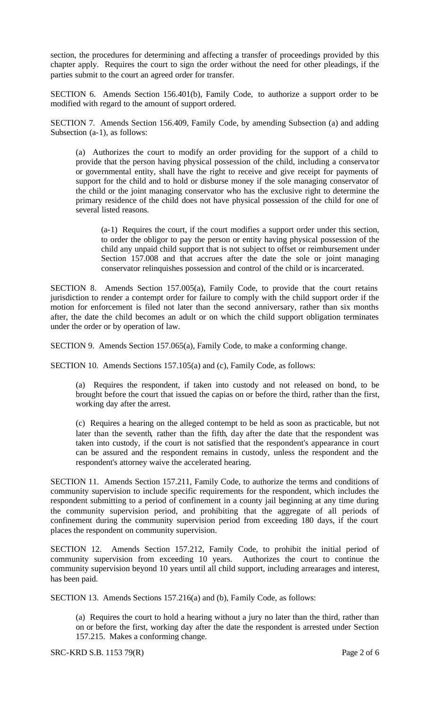section, the procedures for determining and affecting a transfer of proceedings provided by this chapter apply. Requires the court to sign the order without the need for other pleadings, if the parties submit to the court an agreed order for transfer.

SECTION 6. Amends Section 156.401(b), Family Code, to authorize a support order to be modified with regard to the amount of support ordered.

SECTION 7. Amends Section 156.409, Family Code, by amending Subsection (a) and adding Subsection (a-1), as follows:

(a) Authorizes the court to modify an order providing for the support of a child to provide that the person having physical possession of the child, including a conserva tor or governmental entity, shall have the right to receive and give receipt for payments of support for the child and to hold or disburse money if the sole managing conservator of the child or the joint managing conservator who has the exclusive right to determine the primary residence of the child does not have physical possession of the child for one of several listed reasons.

(a-1) Requires the court, if the court modifies a support order under this section, to order the obligor to pay the person or entity having physical possession of the child any unpaid child support that is not subject to offset or reimbursement under Section 157.008 and that accrues after the date the sole or joint managing conservator relinquishes possession and control of the child or is incarcerated.

SECTION 8. Amends Section 157.005(a), Family Code, to provide that the court retains jurisdiction to render a contempt order for failure to comply with the child support order if the motion for enforcement is filed not later than the second anniversary, rather than six months after, the date the child becomes an adult or on which the child support obligation terminates under the order or by operation of law.

SECTION 9. Amends Section 157.065(a), Family Code, to make a conforming change.

SECTION 10. Amends Sections 157.105(a) and (c), Family Code, as follows:

(a) Requires the respondent, if taken into custody and not released on bond, to be brought before the court that issued the capias on or before the third, rather than the first, working day after the arrest.

(c) Requires a hearing on the alleged contempt to be held as soon as practicable, but not later than the seventh, rather than the fifth, day after the date that the respondent was taken into custody, if the court is not satisfied that the respondent's appearance in court can be assured and the respondent remains in custody, unless the respondent and the respondent's attorney waive the accelerated hearing.

SECTION 11. Amends Section 157.211, Family Code, to authorize the terms and conditions of community supervision to include specific requirements for the respondent, which includes the respondent submitting to a period of confinement in a county jail beginning at any time during the community supervision period, and prohibiting that the aggregate of all periods of confinement during the community supervision period from exceeding 180 days, if the court places the respondent on community supervision.

SECTION 12. Amends Section 157.212, Family Code, to prohibit the initial period of community supervision from exceeding 10 years. Authorizes the court to continue the community supervision beyond 10 years until all child support, including arrearages and interest, has been paid.

SECTION 13. Amends Sections 157.216(a) and (b), Family Code, as follows:

(a) Requires the court to hold a hearing without a jury no later than the third, rather than on or before the first, working day after the date the respondent is arrested under Section 157.215. Makes a conforming change.

SRC-KRD S.B. 1153 79(R) Page 2 of 6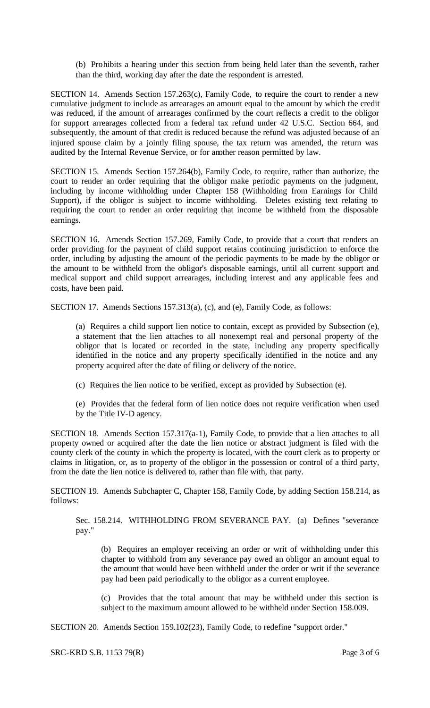(b) Prohibits a hearing under this section from being held later than the seventh, rather than the third, working day after the date the respondent is arrested.

SECTION 14. Amends Section 157.263(c), Family Code, to require the court to render a new cumulative judgment to include as arrearages an amount equal to the amount by which the credit was reduced, if the amount of arrearages confirmed by the court reflects a credit to the obligor for support arrearages collected from a federal tax refund under 42 U.S.C. Section 664, and subsequently, the amount of that credit is reduced because the refund was adjusted because of an injured spouse claim by a jointly filing spouse, the tax return was amended, the return was audited by the Internal Revenue Service, or for another reason permitted by law.

SECTION 15. Amends Section 157.264(b), Family Code, to require, rather than authorize, the court to render an order requiring that the obligor make periodic payments on the judgment, including by income withholding under Chapter 158 (Withholding from Earnings for Child Support), if the obligor is subject to income withholding. Deletes existing text relating to requiring the court to render an order requiring that income be withheld from the disposable earnings.

SECTION 16. Amends Section 157.269, Family Code, to provide that a court that renders an order providing for the payment of child support retains continuing jurisdiction to enforce the order, including by adjusting the amount of the periodic payments to be made by the obligor or the amount to be withheld from the obligor's disposable earnings, until all current support and medical support and child support arrearages, including interest and any applicable fees and costs, have been paid.

SECTION 17. Amends Sections 157.313(a), (c), and (e), Family Code, as follows:

(a) Requires a child support lien notice to contain, except as provided by Subsection (e), a statement that the lien attaches to all nonexempt real and personal property of the obligor that is located or recorded in the state, including any property specifically identified in the notice and any property specifically identified in the notice and any property acquired after the date of filing or delivery of the notice.

- (c) Requires the lien notice to be verified, except as provided by Subsection (e).
- (e) Provides that the federal form of lien notice does not require verification when used by the Title IV-D agency.

SECTION 18. Amends Section 157.317(a-1), Family Code, to provide that a lien attaches to all property owned or acquired after the date the lien notice or abstract judgment is filed with the county clerk of the county in which the property is located, with the court clerk as to property or claims in litigation, or, as to property of the obligor in the possession or control of a third party, from the date the lien notice is delivered to, rather than file with, that party.

SECTION 19. Amends Subchapter C, Chapter 158, Family Code, by adding Section 158.214, as follows:

Sec. 158.214. WITHHOLDING FROM SEVERANCE PAY. (a) Defines "severance pay."

(b) Requires an employer receiving an order or writ of withholding under this chapter to withhold from any severance pay owed an obligor an amount equal to the amount that would have been withheld under the order or writ if the severance pay had been paid periodically to the obligor as a current employee.

(c) Provides that the total amount that may be withheld under this section is subject to the maximum amount allowed to be withheld under Section 158.009.

SECTION 20. Amends Section 159.102(23), Family Code, to redefine "support order."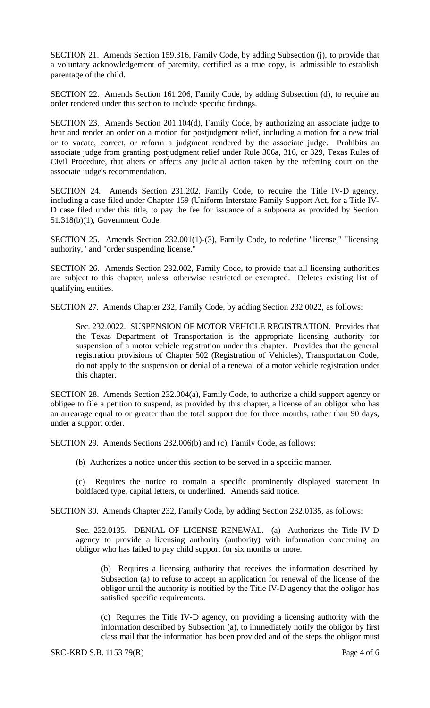SECTION 21. Amends Section 159.316, Family Code, by adding Subsection (j), to provide that a voluntary acknowledgement of paternity, certified as a true copy, is admissible to establish parentage of the child.

SECTION 22. Amends Section 161.206, Family Code, by adding Subsection (d), to require an order rendered under this section to include specific findings.

SECTION 23. Amends Section 201.104(d), Family Code, by authorizing an associate judge to hear and render an order on a motion for postjudgment relief, including a motion for a new trial or to vacate, correct, or reform a judgment rendered by the associate judge. Prohibits an associate judge from granting postjudgment relief under Rule 306a, 316, or 329, Texas Rules of Civil Procedure, that alters or affects any judicial action taken by the referring court on the associate judge's recommendation.

SECTION 24. Amends Section 231.202, Family Code, to require the Title IV-D agency, including a case filed under Chapter 159 (Uniform Interstate Family Support Act, for a Title IV-D case filed under this title, to pay the fee for issuance of a subpoena as provided by Section 51.318(b)(1), Government Code.

SECTION 25. Amends Section 232.001(1)-(3), Family Code, to redefine "license," "licensing authority," and "order suspending license."

SECTION 26. Amends Section 232.002, Family Code, to provide that all licensing authorities are subject to this chapter, unless otherwise restricted or exempted. Deletes existing list of qualifying entities.

SECTION 27. Amends Chapter 232, Family Code, by adding Section 232.0022, as follows:

Sec. 232.0022. SUSPENSION OF MOTOR VEHICLE REGISTRATION. Provides that the Texas Department of Transportation is the appropriate licensing authority for suspension of a motor vehicle registration under this chapter. Provides that the general registration provisions of Chapter 502 (Registration of Vehicles), Transportation Code, do not apply to the suspension or denial of a renewal of a motor vehicle registration under this chapter.

SECTION 28. Amends Section 232.004(a), Family Code, to authorize a child support agency or obligee to file a petition to suspend, as provided by this chapter, a license of an obligor who has an arrearage equal to or greater than the total support due for three months, rather than 90 days, under a support order.

SECTION 29. Amends Sections 232.006(b) and (c), Family Code, as follows:

(b) Authorizes a notice under this section to be served in a specific manner.

(c) Requires the notice to contain a specific prominently displayed statement in boldfaced type, capital letters, or underlined. Amends said notice.

SECTION 30. Amends Chapter 232, Family Code, by adding Section 232.0135, as follows:

Sec. 232.0135. DENIAL OF LICENSE RENEWAL. (a) Authorizes the Title IV-D agency to provide a licensing authority (authority) with information concerning an obligor who has failed to pay child support for six months or more.

(b) Requires a licensing authority that receives the information described by Subsection (a) to refuse to accept an application for renewal of the license of the obligor until the authority is notified by the Title IV-D agency that the obligor has satisfied specific requirements.

(c) Requires the Title IV-D agency, on providing a licensing authority with the information described by Subsection (a), to immediately notify the obligor by first class mail that the information has been provided and of the steps the obligor must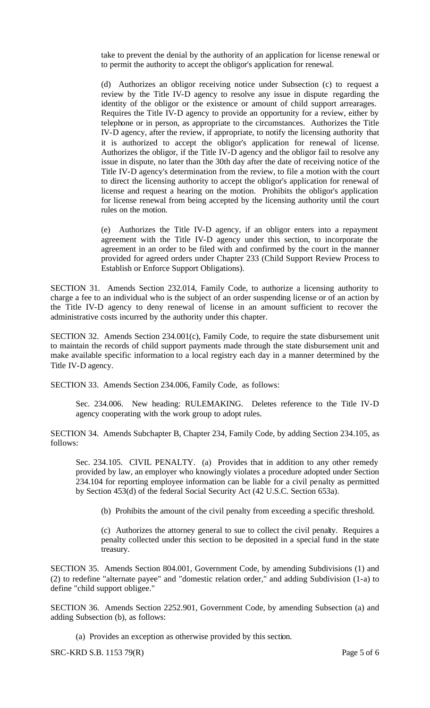take to prevent the denial by the authority of an application for license renewal or to permit the authority to accept the obligor's application for renewal.

(d) Authorizes an obligor receiving notice under Subsection (c) to request a review by the Title IV-D agency to resolve any issue in dispute regarding the identity of the obligor or the existence or amount of child support arrearages. Requires the Title IV-D agency to provide an opportunity for a review, either by telephone or in person, as appropriate to the circumstances. Authorizes the Title IV-D agency, after the review, if appropriate, to notify the licensing authority that it is authorized to accept the obligor's application for renewal of license. Authorizes the obligor, if the Title IV-D agency and the obligor fail to resolve any issue in dispute, no later than the 30th day after the date of receiving notice of the Title IV-D agency's determination from the review, to file a motion with the court to direct the licensing authority to accept the obligor's application for renewal of license and request a hearing on the motion. Prohibits the obligor's application for license renewal from being accepted by the licensing authority until the court rules on the motion.

(e) Authorizes the Title IV-D agency, if an obligor enters into a repayment agreement with the Title IV-D agency under this section, to incorporate the agreement in an order to be filed with and confirmed by the court in the manner provided for agreed orders under Chapter 233 (Child Support Review Process to Establish or Enforce Support Obligations).

SECTION 31. Amends Section 232.014, Family Code, to authorize a licensing authority to charge a fee to an individual who is the subject of an order suspending license or of an action by the Title IV-D agency to deny renewal of license in an amount sufficient to recover the administrative costs incurred by the authority under this chapter.

SECTION 32. Amends Section 234.001(c), Family Code, to require the state disbursement unit to maintain the records of child support payments made through the state disbursement unit and make available specific information to a local registry each day in a manner determined by the Title IV-D agency.

SECTION 33. Amends Section 234.006, Family Code, as follows:

Sec. 234.006. New heading: RULEMAKING. Deletes reference to the Title IV-D agency cooperating with the work group to adopt rules.

SECTION 34. Amends Subchapter B, Chapter 234, Family Code, by adding Section 234.105, as follows:

Sec. 234.105. CIVIL PENALTY. (a) Provides that in addition to any other remedy provided by law, an employer who knowingly violates a procedure adopted under Section 234.104 for reporting employee information can be liable for a civil penalty as permitted by Section 453(d) of the federal Social Security Act (42 U.S.C. Section 653a).

(b) Prohibits the amount of the civil penalty from exceeding a specific threshold.

(c) Authorizes the attorney general to sue to collect the civil penalty. Requires a penalty collected under this section to be deposited in a special fund in the state treasury.

SECTION 35. Amends Section 804.001, Government Code, by amending Subdivisions (1) and (2) to redefine "alternate payee" and "domestic relation order," and adding Subdivision (1-a) to define "child support obligee."

SECTION 36. Amends Section 2252.901, Government Code, by amending Subsection (a) and adding Subsection (b), as follows:

(a) Provides an exception as otherwise provided by this section.

SRC-KRD S.B. 1153 79(R) Page 5 of 6